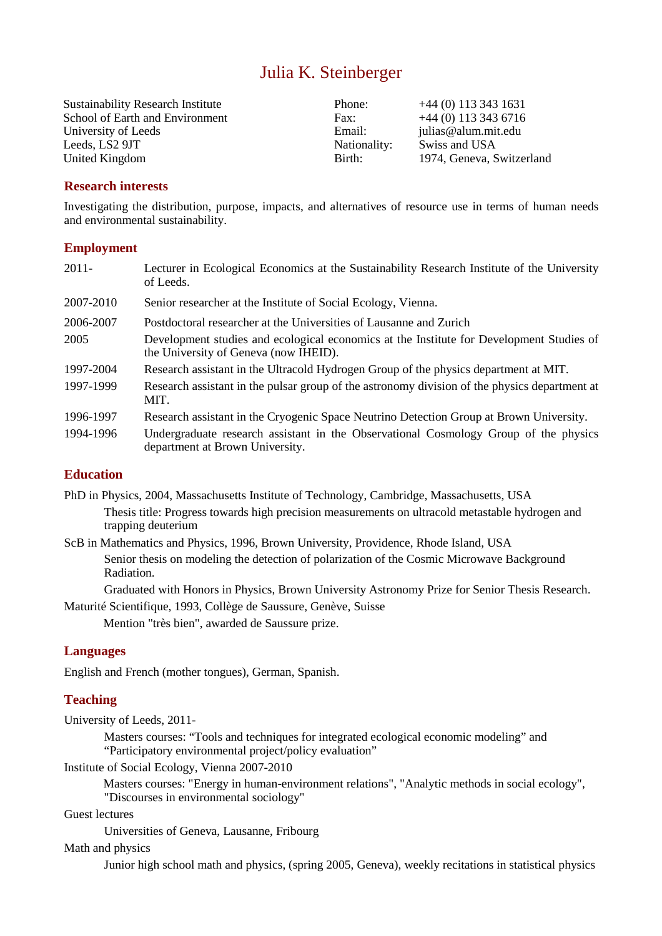# Julia K. Steinberger

Sustainability Research Institute Phone: +44 (0) 113 343 1631 School of Earth and Environment Fax: +44 (0) 113 343 6716 University of Leeds **Email:** Figure Email: julias@alum.mit.edu Leeds, LS2 9JT Nationality: Swiss and USA United Kingdom Birth: 1974, Geneva, Switzerland

# **Research interests**

Investigating the distribution, purpose, impacts, and alternatives of resource use in terms of human needs and environmental sustainability.

## **Employment**

| $2011 -$  | Lecturer in Ecological Economics at the Sustainability Research Institute of the University<br>of Leeds.                          |
|-----------|-----------------------------------------------------------------------------------------------------------------------------------|
| 2007-2010 | Senior researcher at the Institute of Social Ecology, Vienna.                                                                     |
| 2006-2007 | Postdoctoral researcher at the Universities of Lausanne and Zurich                                                                |
| 2005      | Development studies and ecological economics at the Institute for Development Studies of<br>the University of Geneva (now IHEID). |
| 1997-2004 | Research assistant in the Ultracold Hydrogen Group of the physics department at MIT.                                              |
| 1997-1999 | Research assistant in the pulsar group of the astronomy division of the physics department at<br>MIT.                             |
| 1996-1997 | Research assistant in the Cryogenic Space Neutrino Detection Group at Brown University.                                           |
| 1994-1996 | Undergraduate research assistant in the Observational Cosmology Group of the physics<br>department at Brown University.           |

# **Education**

PhD in Physics, 2004, Massachusetts Institute of Technology, Cambridge, Massachusetts, USA Thesis title: Progress towards high precision measurements on ultracold metastable hydrogen and trapping deuterium

ScB in Mathematics and Physics, 1996, Brown University, Providence, Rhode Island, USA Senior thesis on modeling the detection of polarization of the Cosmic Microwave Background Radiation.

Graduated with Honors in Physics, Brown University Astronomy Prize for Senior Thesis Research.

Maturité Scientifique, 1993, Collège de Saussure, Genève, Suisse

Mention "très bien", awarded de Saussure prize.

# **Languages**

English and French (mother tongues), German, Spanish.

# **Teaching**

University of Leeds, 2011-

Masters courses: "Tools and techniques for integrated ecological economic modeling" and "Participatory environmental project/policy evaluation"

Institute of Social Ecology, Vienna 2007-2010

Masters courses: "Energy in human-environment relations", "Analytic methods in social ecology", "Discourses in environmental sociology"

Guest lectures

Universities of Geneva, Lausanne, Fribourg

Math and physics

Junior high school math and physics, (spring 2005, Geneva), weekly recitations in statistical physics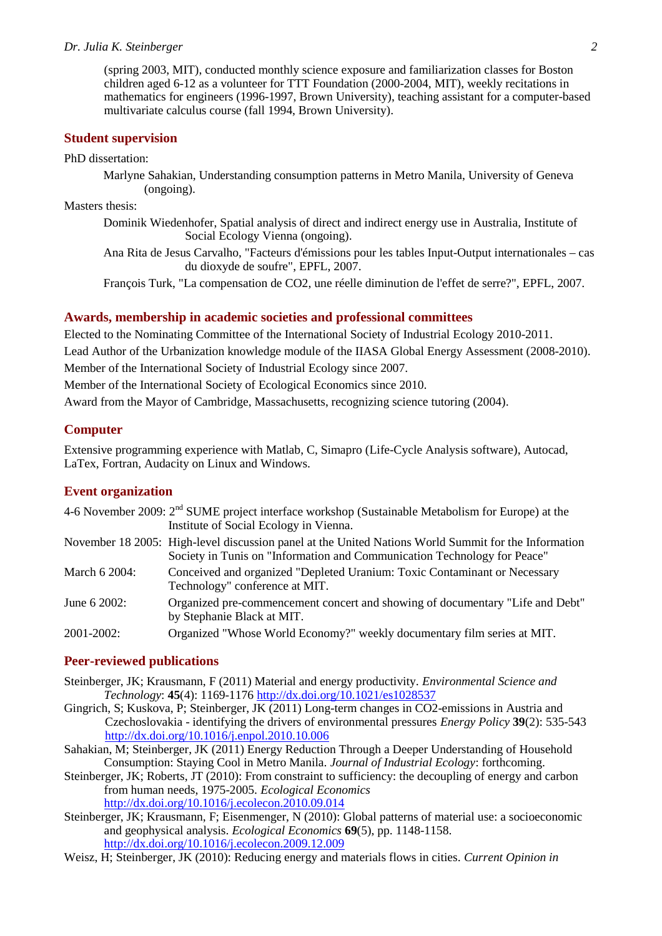#### *Dr. Julia K. Steinberger 2*

(spring 2003, MIT), conducted monthly science exposure and familiarization classes for Boston children aged 6-12 as a volunteer for TTT Foundation (2000-2004, MIT), weekly recitations in mathematics for engineers (1996-1997, Brown University), teaching assistant for a computer-based multivariate calculus course (fall 1994, Brown University).

### **Student supervision**

PhD dissertation:

Marlyne Sahakian, Understanding consumption patterns in Metro Manila, University of Geneva (ongoing).

Masters thesis:

Dominik Wiedenhofer, Spatial analysis of direct and indirect energy use in Australia, Institute of Social Ecology Vienna (ongoing).

Ana Rita de Jesus Carvalho, "Facteurs d'émissions pour les tables Input-Output internationales – cas du dioxyde de soufre", EPFL, 2007.

François Turk, "La compensation de CO2, une réelle diminution de l'effet de serre?", EPFL, 2007.

#### **Awards, membership in academic societies and professional committees**

Elected to the Nominating Committee of the International Society of Industrial Ecology 2010-2011. Lead Author of the Urbanization knowledge module of the IIASA Global Energy Assessment (2008-2010). Member of the International Society of Industrial Ecology since 2007. Member of the International Society of Ecological Economics since 2010.

Award from the Mayor of Cambridge, Massachusetts, recognizing science tutoring (2004).

#### **Computer**

Extensive programming experience with Matlab, C, Simapro (Life-Cycle Analysis software), Autocad, LaTex, Fortran, Audacity on Linux and Windows.

## **Event organization**

|               | 4-6 November 2009: $2nd$ SUME project interface workshop (Sustainable Metabolism for Europe) at the<br>Institute of Social Ecology in Vienna.                                    |
|---------------|----------------------------------------------------------------------------------------------------------------------------------------------------------------------------------|
|               | November 18 2005: High-level discussion panel at the United Nations World Summit for the Information<br>Society in Tunis on "Information and Communication Technology for Peace" |
| March 6 2004: | Conceived and organized "Depleted Uranium: Toxic Contaminant or Necessary<br>Technology" conference at MIT.                                                                      |
| June 6 2002:  | Organized pre-commencement concert and showing of documentary "Life and Debt"<br>by Stephanie Black at MIT.                                                                      |
| 2001-2002:    | Organized "Whose World Economy?" weekly documentary film series at MIT.                                                                                                          |

#### **Peer-reviewed publications**

- Steinberger, JK; Krausmann, F (2011) Material and energy productivity. *Environmental Science and Technology*: **45**(4): 1169-1176 http://dx.doi.org/10.1021/es1028537
- Gingrich, S; Kuskova, P; Steinberger, JK (2011) Long-term changes in CO2-emissions in Austria and Czechoslovakia - identifying the drivers of environmental pressures *Energy Policy* **39**(2): 535-543 http://dx.doi.org/10.1016/j.enpol.2010.10.006
- Sahakian, M; Steinberger, JK (2011) Energy Reduction Through a Deeper Understanding of Household Consumption: Staying Cool in Metro Manila. *Journal of Industrial Ecology*: forthcoming.
- Steinberger, JK; Roberts, JT (2010): From constraint to sufficiency: the decoupling of energy and carbon from human needs, 1975-2005. *Ecological Economics* http://dx.doi.org/10.1016/j.ecolecon.2010.09.014
- Steinberger, JK; Krausmann, F; Eisenmenger, N (2010): Global patterns of material use: a socioeconomic and geophysical analysis. *Ecological Economics* **69**(5), pp. 1148-1158. http://dx.doi.org/10.1016/j.ecolecon.2009.12.009
- Weisz, H; Steinberger, JK (2010): Reducing energy and materials flows in cities. *Current Opinion in*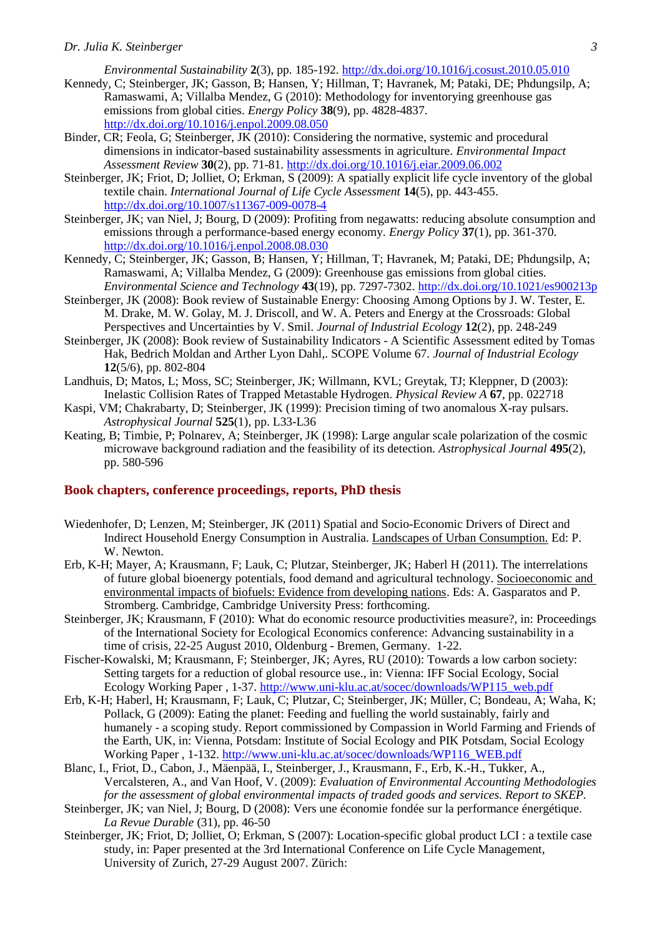*Environmental Sustainability* **2**(3), pp. 185-192. http://dx.doi.org/10.1016/j.cosust.2010.05.010

- Kennedy, C; Steinberger, JK; Gasson, B; Hansen, Y; Hillman, T; Havranek, M; Pataki, DE; Phdungsilp, A; Ramaswami, A; Villalba Mendez, G (2010): Methodology for inventorying greenhouse gas emissions from global cities. *Energy Policy* **38**(9), pp. 4828-4837. http://dx.doi.org/10.1016/j.enpol.2009.08.050
- Binder, CR; Feola, G; Steinberger, JK (2010): Considering the normative, systemic and procedural dimensions in indicator-based sustainability assessments in agriculture. *Environmental Impact Assessment Review* **30**(2), pp. 71-81. http://dx.doi.org/10.1016/j.eiar.2009.06.002
- Steinberger, JK; Friot, D; Jolliet, O; Erkman, S (2009): A spatially explicit life cycle inventory of the global textile chain. *International Journal of Life Cycle Assessment* **14**(5), pp. 443-455. http://dx.doi.org/10.1007/s11367-009-0078-4
- Steinberger, JK; van Niel, J; Bourg, D (2009): Profiting from negawatts: reducing absolute consumption and emissions through a performance-based energy economy. *Energy Policy* **37**(1), pp. 361-370. http://dx.doi.org/10.1016/j.enpol.2008.08.030
- Kennedy, C; Steinberger, JK; Gasson, B; Hansen, Y; Hillman, T; Havranek, M; Pataki, DE; Phdungsilp, A; Ramaswami, A; Villalba Mendez, G (2009): Greenhouse gas emissions from global cities. *Environmental Science and Technology* **43**(19), pp. 7297-7302. http://dx.doi.org/10.1021/es900213p
- Steinberger, JK (2008): Book review of Sustainable Energy: Choosing Among Options by J. W. Tester, E. M. Drake, M. W. Golay, M. J. Driscoll, and W. A. Peters and Energy at the Crossroads: Global Perspectives and Uncertainties by V. Smil. *Journal of Industrial Ecology* **12**(2), pp. 248-249
- Steinberger, JK (2008): Book review of Sustainability Indicators A Scientific Assessment edited by Tomas Hak, Bedrich Moldan and Arther Lyon Dahl,. SCOPE Volume 67. *Journal of Industrial Ecology* **12**(5/6), pp. 802-804
- Landhuis, D; Matos, L; Moss, SC; Steinberger, JK; Willmann, KVL; Greytak, TJ; Kleppner, D (2003): Inelastic Collision Rates of Trapped Metastable Hydrogen. *Physical Review A* **67**, pp. 022718
- Kaspi, VM; Chakrabarty, D; Steinberger, JK (1999): Precision timing of two anomalous X-ray pulsars. *Astrophysical Journal* **525**(1), pp. L33-L36
- Keating, B; Timbie, P; Polnarev, A; Steinberger, JK (1998): Large angular scale polarization of the cosmic microwave background radiation and the feasibility of its detection. *Astrophysical Journal* **495**(2), pp. 580-596

#### **Book chapters, conference proceedings, reports, PhD thesis**

- Wiedenhofer, D; Lenzen, M; Steinberger, JK (2011) Spatial and Socio-Economic Drivers of Direct and Indirect Household Energy Consumption in Australia. Landscapes of Urban Consumption. Ed: P. W. Newton.
- Erb, K-H; Mayer, A; Krausmann, F; Lauk, C; Plutzar, Steinberger, JK; Haberl H (2011). The interrelations of future global bioenergy potentials, food demand and agricultural technology. Socioeconomic and environmental impacts of biofuels: Evidence from developing nations. Eds: A. Gasparatos and P. Stromberg. Cambridge, Cambridge University Press: forthcoming.
- Steinberger, JK; Krausmann, F (2010): What do economic resource productivities measure?, in: Proceedings of the International Society for Ecological Economics conference: Advancing sustainability in a time of crisis, 22-25 August 2010, Oldenburg - Bremen, Germany. 1-22.
- Fischer-Kowalski, M; Krausmann, F; Steinberger, JK; Ayres, RU (2010): Towards a low carbon society: Setting targets for a reduction of global resource use., in: Vienna: IFF Social Ecology, Social Ecology Working Paper , 1-37. http://www.uni-klu.ac.at/socec/downloads/WP115\_web.pdf
- Erb, K-H; Haberl, H; Krausmann, F; Lauk, C; Plutzar, C; Steinberger, JK; Müller, C; Bondeau, A; Waha, K; Pollack, G (2009): Eating the planet: Feeding and fuelling the world sustainably, fairly and humanely - a scoping study. Report commissioned by Compassion in World Farming and Friends of the Earth, UK, in: Vienna, Potsdam: Institute of Social Ecology and PIK Potsdam, Social Ecology Working Paper , 1-132. http://www.uni-klu.ac.at/socec/downloads/WP116\_WEB.pdf
- Blanc, I., Friot, D., Cabon, J., Mäenpää, I., Steinberger, J., Krausmann, F., Erb, K.-H., Tukker, A., Vercalsteren, A., and Van Hoof, V. (2009): *Evaluation of Environmental Accounting Methodologies for the assessment of global environmental impacts of traded goods and services. Report to SKEP.*
- Steinberger, JK; van Niel, J; Bourg, D (2008): Vers une économie fondée sur la performance énergétique. *La Revue Durable* (31), pp. 46-50
- Steinberger, JK; Friot, D; Jolliet, O; Erkman, S (2007): Location-specific global product LCI : a textile case study, in: Paper presented at the 3rd International Conference on Life Cycle Management, University of Zurich, 27-29 August 2007. Zürich: